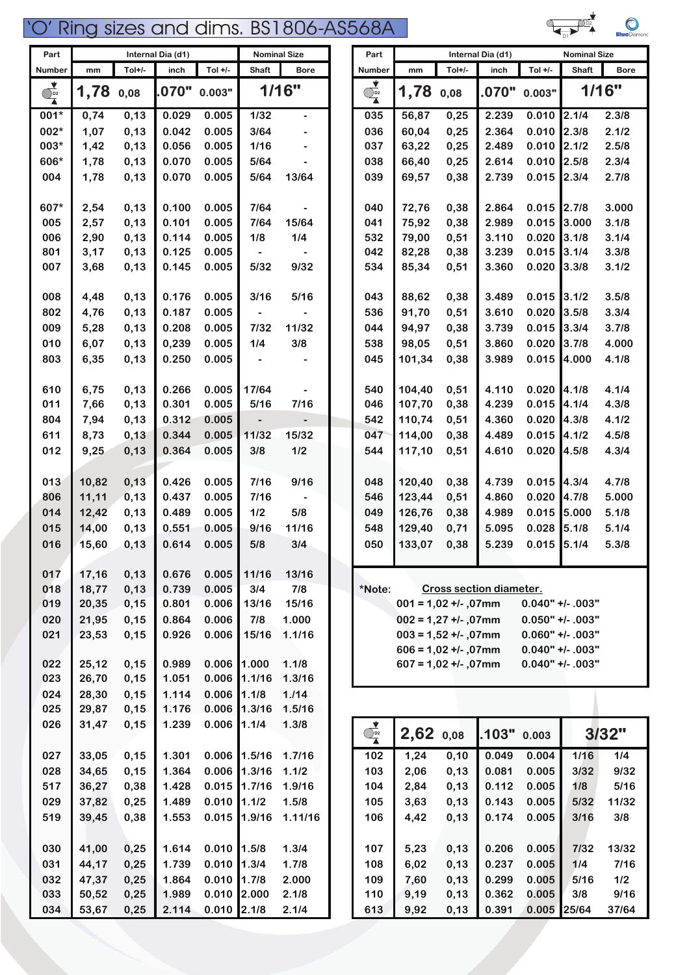| Part                                                          |              |              | Internal Dia (d1) |                |                           | <b>Nominal Size</b> | Part                                        |                |                         | Internal Dia (d1) |                | <b>Nominal Size</b> |                |
|---------------------------------------------------------------|--------------|--------------|-------------------|----------------|---------------------------|---------------------|---------------------------------------------|----------------|-------------------------|-------------------|----------------|---------------------|----------------|
| Number                                                        | mm           | Tol+/-       | inch              | Tol $+/-$      | <b>Shaft</b>              | <b>Bore</b>         | Number                                      | mm             | Tol+/-                  | inch              | Tol $+/-$      | <b>Shaft</b>        | <b>Bore</b>    |
| $\begin{array}{c}\n\bullet \\ \bullet \\ \hline\n\end{array}$ | 1,78         | 0,08         | 070"              | 0.003"         |                           | 1/16"               | ▼<br>$\overline{\mathbb{Q}}_2$              | 1,78           | 0,08                    | .070"             | 0.003"         |                     | 1/16"          |
| 001*                                                          | 0,74         | 0,13         | 0.029             | 0.005          | $1/32$                    |                     | 035                                         | 56,87          | 0,25                    | 2.239             | 0.010          | 2.1/4               | 2.3/8          |
| 002*                                                          | 1,07         | 0,13         | 0.042             | 0.005          | 3/64                      |                     | 036                                         | 60,04          | 0,25                    | 2.364             | 0.010          | 2.3/8               | 2.1/2          |
| 003*                                                          | 1,42         | 0,13         | 0.056             | 0.005          | 1/16                      |                     | 037                                         | 63,22          | 0,25                    | 2.489             | 0.010          | 2.1/2               | 2.5/8          |
| 606*                                                          | 1,78         | 0,13         | 0.070             | 0.005          | 5/64                      |                     | 038                                         | 66,40          | 0,25                    | 2.614             | 0.010          | 2.5/8               | 2.3/4          |
| 004                                                           | 1,78         | 0,13         | 0.070             | 0.005          | 5/64                      | 13/64               | 039                                         | 69,57          | 0,38                    | 2.739             | 0.015          | 2.3/4               | 2.7/8          |
| 607*                                                          | 2,54         | 0,13         | 0.100             | 0.005          | 7/64                      |                     | 040                                         | 72,76          | 0,38                    | 2.864             | 0.015          | 2.7/8               | 3.000          |
| 005                                                           | 2,57         | 0,13         | 0.101             | 0.005          | 7/64                      | 15/64               | 041                                         | 75,92          | 0,38                    | 2.989             | 0.015          | 3.000               | 3.1/8          |
| 006                                                           | 2,90         | 0,13         | 0.114             | 0.005          | 1/8                       | 1/4                 | 532                                         | 79,00          | 0,51                    | 3.110<br>3.239    | 0.020          | 3.1/8<br>3.1/4      | 3.1/4          |
| 801<br>007                                                    | 3,17<br>3,68 | 0,13<br>0,13 | 0.125<br>0.145    | 0.005<br>0.005 | $\hbox{\small -}$<br>5/32 | 9/32                | 042<br>534                                  | 82,28<br>85,34 | 0,38<br>0,51            | 3.360             | 0.015<br>0.020 | 3.3/8               | 3.3/8<br>3.1/2 |
|                                                               |              |              |                   |                |                           |                     |                                             |                |                         |                   |                |                     |                |
| 008                                                           | 4,48         | 0,13         | 0.176             | 0.005          | 3/16                      | 5/16                | 043                                         | 88,62          | 0,38                    | 3.489             | 0.015          | 3.1/2               | 3.5/8          |
| 802                                                           | 4,76         | 0,13         | 0.187             | 0.005          |                           |                     | 536                                         | 91,70          | 0,51                    | 3.610             | 0.020          | 3.5/8               | 3.3/4          |
| 009                                                           | 5,28         | 0,13         | 0.208             | 0.005          | 7/32                      | 11/32               | 044                                         | 94,97          | 0,38                    | 3.739             | 0.015          | 3.3/4               | 3.7/8          |
| 010                                                           | 6,07         | 0,13         | 0,239             | 0.005          | 1/4                       | 3/8                 | 538                                         | 98,05          | 0,51                    | 3.860             | 0.020          | 3.7/8               | 4.000          |
| 803                                                           | 6,35         | 0,13         | 0.250             | 0.005          |                           |                     | 045                                         | 101,34         | 0,38                    | 3.989             | 0.015          | 4.000               | 4.1/8          |
| 610                                                           | 6,75         | 0,13         | 0.266             | 0.005          | 17/64                     |                     | 540                                         | 104,40         | 0,51                    | 4.110             | 0.020          | 4.1/8               | 4.1/4          |
| 011                                                           | 7,66         | 0,13         | 0.301             | 0.005          | $5/16$                    | 7/16                | 046                                         | 107,70         | 0,38                    | 4.239             | 0.015          | 4.1/4               | 4.3/8          |
| 804                                                           | 7,94         | 0,13         | 0.312             | 0.005          | $\overline{\phantom{a}}$  |                     | 542                                         | 110,74         | 0,51                    | 4.360             | 0.020          | 4.3/8               | 4.1/2          |
| 611                                                           | 8,73         | 0,13         | 0.344             | 0.005          | 11/32                     | 15/32               | 047                                         | 114,00         | 0,38                    | 4.489             | 0.015          | 4.1/2               | 4.5/8          |
| 012                                                           | 9,25         | 0,13         | 0.364             | 0.005          | 3/8                       | 1/2                 | 544                                         | 117,10         | 0,51                    | 4.610             | 0.020          | 4.5/8               | 4.3/4          |
| 013                                                           | 10,82        | 0, 13        | 0.426             | 0.005          | $7/16$                    | 9/16                | 048                                         | 120,40         | 0,38                    | 4.739             | 0.015          | 4.3/4               | 4.7/8          |
| 806                                                           | 11,11        | 0, 13        | 0.437             | 0.005          | 7/16                      |                     | 546                                         | 123,44         | 0,51                    | 4.860             | 0.020          | 4.7/8               | 5.000          |
| 014                                                           | 12,42        | 0,13         | 0.489             | 0.005          | $1/2$                     | 5/8                 | 049                                         | 126,76         | 0,38                    | 4.989             | 0.015          | 5.000               | 5.1/8          |
| 015                                                           | 14,00        | 0,13         | 0.551             | 0.005          | 9/16                      | 11/16               | 548                                         | 129,40         | 0,71                    | 5.095             | 0.028          | 5.1/8               | 5.1/4          |
| 016                                                           | 15,60        | 0, 13        | 0.614             | 0.005          | 5/8                       | 3/4                 | 050                                         | 133,07         | 0,38                    | 5.239             | 0.015          | 5.1/4               | 5.3/8          |
| 017                                                           | 17,16        | 0, 13        | 0.676             | 0.005          | 11/16                     | 13/16               |                                             |                |                         |                   |                |                     |                |
| 018                                                           | 18,77        | 0,13         | 0.739             | 0.005          | 3/4                       | 7/8                 | *Note:                                      |                | Cross section diameter. |                   |                |                     |                |
| 019                                                           | 20,35        | 0,15         | 0.801             | 0.006          | 13/16                     | 15/16               |                                             |                | $001 = 1,02 +1.07$ mm   |                   |                | $0.040"$ +/- .003"  |                |
| 020                                                           | 21,95        | 0,15         | 0.864             | 0.006          | 7/8                       | 1.000               |                                             |                | $002 = 1,27 + 1.07$ mm  |                   |                | $0.050"$ +/- .003"  |                |
| 021                                                           | 23,53        | 0,15         | 0.926             | 0.006          | 15/16                     | 1.1/16              |                                             |                | $003 = 1,52 +/-,07$ mm  |                   |                | $0.060"$ +/- .003"  |                |
|                                                               |              |              |                   |                |                           |                     |                                             |                | $606 = 1,02 +1.07$ mm   |                   |                | $0.040"$ +/- .003"  |                |
| 022                                                           | 25,12        | 0, 15        | 0.989             | 0.006          | 1.000                     | 1.1/8               |                                             |                | $607 = 1,02 +1.07$ mm   |                   |                | $0.040"$ +/- .003"  |                |
| 023                                                           | 26,70        | 0,15         | 1.051             | 0.006          | 1.1/16                    | 1.3/16              |                                             |                |                         |                   |                |                     |                |
| 024                                                           | 28,30        | 0, 15        | 1.114             | 0.006          | 1.1/8                     | 1.114               |                                             |                |                         |                   |                |                     |                |
| 025                                                           | 29,87        | 0,15         | 1.176             | 0.006          | 1.3/16                    | 1.5/16              |                                             |                |                         |                   |                |                     |                |
| 026                                                           | 31,47        | 0,15         | 1.239             | 0.006          | 1.1/4                     | 1.3/8               | $\overrightarrow{O_{\mathbf{p}\mathbf{z}}}$ | 2,62           | 0,08                    | .103"             | 0.003          |                     | 3/32"          |
| 027                                                           | 33,05        | 0,15         | 1.301             | 0.006          | 1.5/16                    | 1.7/16              | 102                                         | 1,24           | 0, 10                   | 0.049             | 0.004          | $1/16$              | 1/4            |
| 028                                                           | 34,65        | 0, 15        | 1.364             | 0.006          | 1.3/16                    | 1.1/2               | 103                                         | 2,06           | 0,13                    | 0.081             | 0.005          | 3/32                | 9/32           |
| 517                                                           | 36,27        | 0,38         | 1.428             | 0.015          | 1.7/16                    | 1.9/16              | 104                                         | 2,84           | 0, 13                   | 0.112             | 0.005          | 1/8                 | 5/16           |
| 029                                                           | 37,82        | 0,25         | 1.489             | 0.010          | 1.1/2                     | 1.5/8               | 105                                         | 3,63           | 0, 13                   | 0.143             | 0.005          | 5/32                | 11/32          |
| 519                                                           | 39,45        | 0,38         | 1.553             | 0.015          | 1.9/16                    | 1.11/16             | 106                                         | 4,42           | 0, 13                   | 0.174             | 0.005          | 3/16                | 3/8            |
| 030                                                           | 41,00        | 0,25         | 1.614             | 0.010          | 1.5/8                     | 1.3/4               | 107                                         | 5,23           | 0, 13                   | 0.206             | 0.005          | 7/32                | 13/32          |
| 031                                                           | 44,17        | 0,25         | 1.739             | 0.010          | 1.3/4                     | 1.7/8               | 108                                         | 6,02           | 0, 13                   | 0.237             | 0.005          | 1/4                 | 7/16           |
| 032                                                           | 47,37        | 0,25         | 1.864             | 0.010          | 1.7/8                     | 2.000               | 109                                         | 7,60           | 0,13                    | 0.299             | 0.005          | 5/16                | 1/2            |
| 033                                                           | 50,52        | 0,25         | 1.989             | $0.010$ 2.000  |                           | 2.1/8               | 110                                         | 9,19           | 0, 13                   | 0.362             | 0.005          | 3/8                 | 9/16           |
| 034                                                           | 53,67        | 0,25         | 2.114             | $0.010$ 2.1/8  |                           | 2.1/4               | 613                                         | 9,92           | 0, 13                   | 0.391             | 0.005          | 25/64               | 37/64          |

| 68A                                 |                                                 |        |                         |           |                                          | <b>Blue</b> Diamond |
|-------------------------------------|-------------------------------------------------|--------|-------------------------|-----------|------------------------------------------|---------------------|
| Part                                |                                                 |        | Internal Dia (d1)       |           | <b>Nominal Size</b>                      |                     |
| Number                              | mm                                              | Tol+/- | inch                    | Tol $+/-$ | Shaft                                    | <b>Bore</b>         |
| $\overline{\bigcirc}$ <sub>D2</sub> | 1,78                                            | 0,08   | .070"                   | 0.003"    |                                          | 1/16"               |
| 035                                 | 56,87                                           | 0,25   | 2.239                   | 0.010     | 2.1/4                                    | 2.3/8               |
| 036                                 | 60,04                                           | 0,25   | 2.364                   | 0.010     | 2.3/8                                    | 2.1/2               |
| 037                                 | 63,22                                           | 0,25   | 2.489                   | 0.010     | 2.1/2                                    | 2.5/8               |
| 038                                 | 66,40                                           | 0,25   | 2.614                   | 0.010     | 2.5/8                                    | 2.3/4               |
| 039                                 | 69,57                                           | 0,38   | 2.739                   | 0.015     | 2.3/4                                    | 2.7/8               |
| 040                                 | 72,76                                           | 0,38   | 2.864                   | 0.015     | 2.7/8                                    | 3.000               |
| 041                                 | 75,92                                           | 0,38   | 2.989                   | 0.015     | 3.000                                    | 3.1/8               |
| 532                                 | 79,00                                           | 0,51   | 3.110                   | 0.020     | 3.1/8                                    | 3.1/4               |
| 042                                 | 82,28                                           | 0,38   | 3.239                   | 0.015     | 3.1/4                                    | 3.3/8               |
| 534                                 | 85,34                                           | 0,51   | 3.360                   | 0.020     | 3.3/8                                    | 3.1/2               |
| 043                                 | 88,62                                           | 0,38   | 3.489                   | 0.015     | 3.1/2                                    | 3.5/8               |
| 536                                 | 91,70                                           | 0,51   | 3.610                   | 0.020     | 3.5/8                                    | 3.3/4               |
| 044                                 | 94,97                                           | 0,38   | 3.739                   | 0.015     | 3.3/4                                    | 3.7/8               |
| 538                                 | 98,05                                           | 0,51   | 3.860                   | 0.020     | 3.7/8                                    | 4.000               |
| 045                                 | 101,34                                          | 0,38   | 3.989                   | 0.015     | 4.000                                    | 4.1/8               |
| 540                                 | 104,40                                          | 0,51   | 4.110                   | 0.020     | 4.1/8                                    | 4.1/4               |
| 046                                 | 107,70                                          | 0,38   | 4.239                   | 0.015     | 4.1/4                                    | 4.3/8               |
| 542                                 | 110,74                                          | 0,51   | 4.360                   | 0.020     | 4.3/8                                    | 4.1/2               |
| 047                                 | 114,00                                          | 0,38   | 4.489                   | 0.015     | 4.1/2                                    | 4.5/8               |
| 544                                 | 117,10                                          | 0,51   | 4.610                   | 0.020     | 4.5/8                                    | 4.3/4               |
| 048                                 | 120,40                                          | 0,38   | 4.739                   | 0.015     | 4.3/4                                    | 4.7/8               |
| 546                                 | 123,44                                          | 0,51   | 4.860                   | 0.020     | 4.7/8                                    | 5.000               |
| 049                                 | 126,76                                          | 0,38   | 4.989                   | 0.015     | 5.000                                    | 5.1/8               |
| 548                                 | 129,40                                          | 0,71   | 5.095                   | 0.028     | 5.1/8                                    | 5.1/4               |
| 050                                 | 133,07                                          | 0,38   | 5.239                   |           | $0.015$ 5.1/4                            | 5.3/8               |
|                                     |                                                 |        |                         |           |                                          |                     |
| *Note:                              |                                                 |        | Cross section diameter. |           |                                          |                     |
|                                     | $001 = 1,02 +1.07$ mm                           |        |                         |           | $0.040"$ +/- .003"                       |                     |
|                                     | $002 = 1,27 + 1.07$ mm<br>$003 = 1,52 +/.07$ mm |        |                         |           | $0.050"$ +/- .003"<br>$0.060"$ +/- .003" |                     |
|                                     | $606 = 1,02 +1.07$ mm                           |        |                         |           | $0.040"$ +/- .003"                       |                     |
|                                     | $607 = 1,02 +1.07$ mm                           |        |                         |           | $0.040"$ +/- .003"                       |                     |
|                                     |                                                 |        |                         |           |                                          |                     |

| $\overline{)}$ <sub>D2</sub> | 2,62 0.08 |      | .103" | 0.003 |       | 3/32" |
|------------------------------|-----------|------|-------|-------|-------|-------|
| 102                          | 1,24      | 0,10 | 0.049 | 0.004 | 1/16  | 1/4   |
| 103                          | 2,06      | 0,13 | 0.081 | 0.005 | 3/32  | 9/32  |
| 104                          | 2.84      | 0,13 | 0.112 | 0.005 | 1/8   | 5/16  |
| 105                          | 3,63      | 0,13 | 0.143 | 0.005 | 5/32  | 11/32 |
| 106                          | 4,42      | 0,13 | 0.174 | 0.005 | 3/16  | 3/8   |
|                              |           |      |       |       |       |       |
| 107                          | 5,23      | 0,13 | 0.206 | 0.005 | 7/32  | 13/32 |
| 108                          | 6,02      | 0,13 | 0.237 | 0.005 | 1/4   | 7/16  |
| 109                          | 7.60      | 0,13 | 0.299 | 0.005 | 5/16  | 1/2   |
| 110                          | 9,19      | 0,13 | 0.362 | 0.005 | 3/8   | 9/16  |
| 613                          | 9,92      | 0,13 | 0.391 | 0.005 | 25/64 | 37/64 |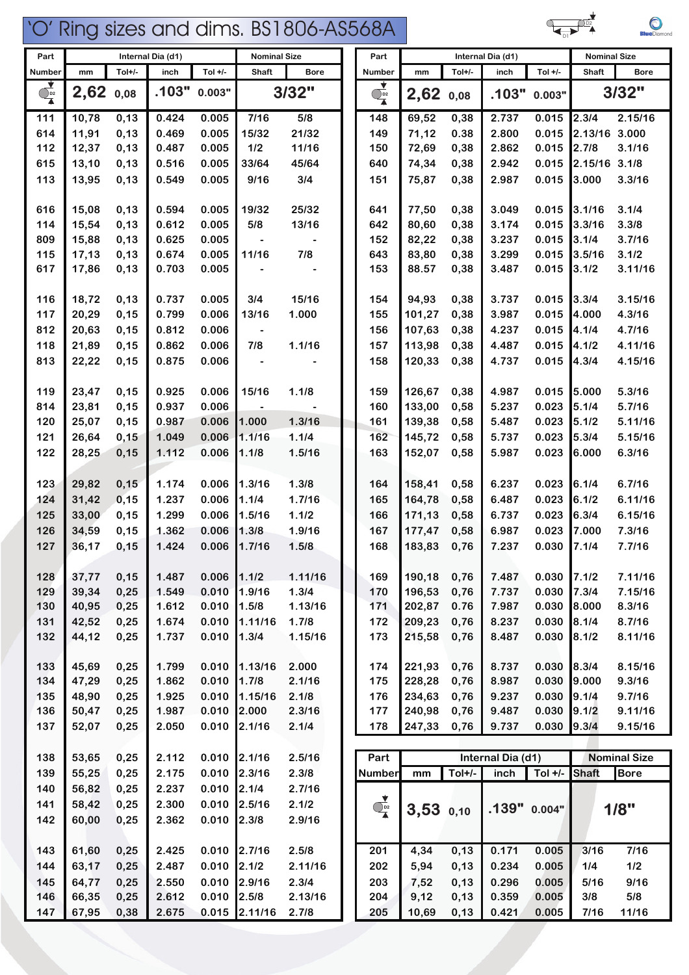

D1

 $\bigcirc$ 

| 138 | 53,65 | 0,25 | 2.112 | 0.010 | 12.1/16  | 2.5/16  | Part                 |               |        | Internal Dia (d1) |           |       | <b>Nominal Size</b> |  |
|-----|-------|------|-------|-------|----------|---------|----------------------|---------------|--------|-------------------|-----------|-------|---------------------|--|
| 139 | 55,25 | 0,25 | 2.175 | 0.010 | 12.3/16  | 2.3/8   | Number               | mm            | Tol+/- | inch              | Tol $+/-$ | Shaft | <b>Bore</b>         |  |
| 140 | 56,82 | 0,25 | 2.237 | 0.010 | 12.1/4   | 2.7/16  |                      |               |        |                   |           |       |                     |  |
| 141 | 58,42 | 0,25 | 2.300 | 0.010 | 2.5/16   | 2.1/2   | $\overline{O_{P^2}}$ | $3,53$ $0,10$ |        | $.139"$ 0.004"    |           |       | 1/8"                |  |
| 142 | 60,00 | 0,25 | 2.362 | 0.010 | 12.3/8   | 2.9/16  |                      |               |        |                   |           |       |                     |  |
|     |       |      |       |       |          |         |                      |               |        |                   |           |       |                     |  |
| 143 | 61,60 | 0,25 | 2.425 | 0.010 | 12.7/16  | 2.5/8   | 201                  | 4,34          | 0,13   | 0.171             | 0.005     | 3/16  | 7/16                |  |
| 144 | 63,17 | 0,25 | 2.487 | 0.010 | 12.1/2   | 2.11/16 | 202                  | 5,94          | 0,13   | 0.234             | 0.005     | 1/4   | 1/2                 |  |
| 145 | 64,77 | 0,25 | 2.550 | 0.010 | 12.9/16  | 2.3/4   | 203                  | 7,52          | 0,13   | 0.296             | 0.005     | 5/16  | 9/16                |  |
| 146 | 66,35 | 0,25 | 2.612 | 0.010 | 12.5/8   | 2.13/16 | 204                  | 9,12          | 0,13   | 0.359             | 0.005     | 3/8   | 5/8                 |  |
| 147 | 67,95 | 0,38 | 2.675 | 0.015 | 12.11/16 | 2.7/8   | 205                  | 10,69         | 0,13   | 0.421             | 0.005     | 7/16  | 11/16               |  |

|                                       |             |        | $m$ untinan Dia $(n)$ |               | טאטווווועו טוב        |             |                                                               |               |          | $m$ undi bia (u i $\prime$ |                                  | אים ושוויויטר |                     |
|---------------------------------------|-------------|--------|-----------------------|---------------|-----------------------|-------------|---------------------------------------------------------------|---------------|----------|----------------------------|----------------------------------|---------------|---------------------|
| Number                                | mm          | Tol+/- | inch                  | Tol $+/-$     | Shaft                 | <b>Bore</b> | Number                                                        | mm            | Tol+/-   | inch                       | Tol +/-                          | Shaft         | Bore                |
|                                       |             |        |                       |               |                       |             |                                                               |               |          |                            |                                  |               |                     |
| $\overline{\mathbf{Q}_{\mathbf{D}2}}$ | $2,62$ 0,08 |        | .103"                 | 0.003"        |                       | 3/32"       | $\begin{array}{c}\n\bullet \\ \bullet \\ \hline\n\end{array}$ | 2,62          | 0,08     | .103"                      | 0.003"                           |               | 3/32"               |
| 111                                   | 10,78       | 0, 13  | 0.424                 | 0.005         | 7/16                  | 5/8         | 148                                                           | 69,52         | 0,38     | 2.737                      | 0.015                            | 2.3/4         | 2.15/16             |
| 614                                   | 11,91       | 0,13   | 0.469                 | 0.005         | 15/32                 | 21/32       | 149                                                           | 71,12         | 0.38     | 2.800                      | 0.015                            | 2.13/16 3.000 |                     |
| 112                                   | 12,37       | 0, 13  | 0.487                 | 0.005         | $1/2$                 | 11/16       | 150                                                           | 72,69         | 0,38     | 2.862                      | 0.015                            | 2.7/8         | 3.1/16              |
| 615                                   | 13,10       | 0,13   | 0.516                 | 0.005         | 33/64                 | 45/64       | 640                                                           | 74,34         | 0,38     | 2.942                      | 0.015                            | 2.15/16 3.1/8 |                     |
| 113                                   | 13,95       | 0,13   | 0.549                 | 0.005         | 9/16                  | 3/4         | 151                                                           | 75,87         | 0,38     | 2.987                      | 0.015                            | 3.000         | 3.3/16              |
|                                       |             |        |                       |               |                       |             |                                                               |               |          |                            |                                  |               |                     |
| 616                                   | 15,08       | 0,13   | 0.594                 | 0.005         | 19/32                 | 25/32       | 641                                                           | 77,50         | 0,38     | 3.049                      | 0.015                            | 3.1/16        | 3.1/4               |
| 114                                   | 15,54       | 0, 13  | 0.612                 | 0.005         | 5/8                   | 13/16       | 642                                                           | 80,60         | 0,38     | 3.174                      | 0.015                            | 3.3/16        | 3.3/8               |
| 809                                   | 15,88       | 0,13   | 0.625                 | 0.005         |                       |             | 152                                                           | 82,22         | 0,38     | 3.237                      | 0.015                            | 3.1/4         | 3.7/16              |
| 115                                   | 17,13       | 0,13   | 0.674                 | 0.005         | 11/16                 | 7/8         | 643                                                           | 83,80         | 0,38     | 3.299                      | 0.015                            | 3.5/16        | 3.1/2               |
| 617                                   | 17,86       | 0,13   | 0.703                 | 0.005         |                       |             | 153                                                           | 88.57         | 0,38     | 3.487                      | 0.015                            | 3.1/2         | 3.11/16             |
|                                       |             |        |                       |               |                       |             |                                                               |               |          |                            |                                  |               |                     |
| 116                                   | 18,72       | 0,13   | 0.737                 | 0.005         | 3/4                   | 15/16       | 154                                                           | 94,93         | 0,38     | 3.737                      | 0.015                            | 3.3/4         | 3.15/16             |
| 117                                   | 20,29       | 0,15   | 0.799                 | 0.006         | 13/16                 | 1.000       | 155                                                           | 101,27        | 0,38     | 3.987                      | 0.015                            | 4.000         | 4.3/16              |
| 812                                   | 20,63       | 0,15   | 0.812                 | 0.006         |                       |             | 156                                                           | 107,63        | 0,38     | 4.237                      | 0.015                            | 4.1/4         | 4.7/16              |
| 118                                   | 21,89       | 0,15   | 0.862                 | 0.006         | 7/8                   | 1.1/16      | 157                                                           | 113,98        | 0,38     | 4.487                      | 0.015                            | 4.1/2         | 4.11/16             |
|                                       |             |        |                       |               |                       |             |                                                               |               |          |                            |                                  |               |                     |
| 813                                   | 22,22       | 0,15   | 0.875                 | 0.006         |                       |             | 158                                                           | 120,33        | 0,38     | 4.737                      | 0.015                            | 4.3/4         | 4.15/16             |
|                                       |             |        |                       |               |                       |             |                                                               |               |          |                            |                                  |               |                     |
| 119                                   | 23,47       | 0,15   | 0.925                 | 0.006         | 15/16                 | 1.1/8       | 159                                                           | 126,67        | 0,38     | 4.987                      | 0.015                            | 5.000         | 5.3/16              |
| 814                                   | 23,81       | 0,15   | 0.937                 | 0.006         | $\blacksquare$        |             | 160                                                           | 133,00        | 0,58     | 5.237                      | 0.023                            | 5.1/4         | 5.7/16              |
| 120                                   | 25,07       | 0,15   | 0.987                 | 0.006         | 1.000                 | 1.3/16      | 161                                                           | 139,38        | 0,58     | 5.487                      | 0.023                            | 5.1/2         | 5.11/16             |
| 121                                   | 26,64       | 0,15   | 1.049                 | 0.006         | 1.1/16                | 1.1/4       | 162                                                           | 145,72        | 0,58     | 5.737                      | 0.023                            | 5.3/4         | 5.15/16             |
| 122                                   | 28,25       | 0,15   | 1.112                 | 0.006         | 1.1/8                 | 1.5/16      | 163                                                           | 152,07        | 0,58     | 5.987                      | 0.023                            | 6.000         | 6.3/16              |
|                                       |             |        |                       |               |                       |             |                                                               |               |          |                            |                                  |               |                     |
| 123                                   | 29,82       | 0,15   | 1.174                 | 0.006         | 1.3/16                | 1.3/8       | 164                                                           | 158,41        | 0,58     | 6.237                      | 0.023                            | 6.1/4         | 6.7/16              |
| 124                                   | 31,42       | 0,15   | 1.237                 | 0.006         | 1.1/4                 | 1.7/16      | 165                                                           | 164,78        | 0,58     | 6.487                      | 0.023                            | 6.1/2         | 6.11/16             |
| 125                                   | 33,00       | 0,15   | 1.299                 | 0.006         | 1.5/16                | 1.1/2       | 166                                                           | 171,13        | 0,58     | 6.737                      | 0.023                            | 6.3/4         | 6.15/16             |
| 126                                   | 34,59       | 0,15   | 1.362                 | 0.006         | 1.3/8                 | 1.9/16      | 167                                                           | 177,47        | 0,58     | 6.987                      | 0.023                            | 7.000         | 7.3/16              |
| 127                                   | 36,17       | 0,15   | 1.424                 | 0.006         | 1.7/16                | 1.5/8       | 168                                                           | 183,83        | 0,76     | 7.237                      | 0.030                            | 7.1/4         | 7.7/16              |
|                                       |             |        |                       |               |                       |             |                                                               |               |          |                            |                                  |               |                     |
| 128                                   | 37,77       | 0,15   | 1.487                 | $0.006$ 1.1/2 |                       | 1.11/16     | 169                                                           | 190,18        | 0,76     | 7.487                      | $0.030$ 7.1/2                    |               | 7.11/16             |
| 129                                   | 39,34       | 0,25   | 1.549                 | 0.010         | 1.9/16                | 1.3/4       | 170                                                           | 196,53        | 0,76     | 7.737                      | 0.030                            | 7.3/4         | 7.15/16             |
| 130                                   | 40,95       | 0,25   | 1.612                 | 0.010         | 1.5/8                 | 1.13/16     | 171                                                           | 202,87        | 0.76     | 7.987                      | 0.030                            | 8.000         | 8.3/16              |
| 131                                   | 42,52       | 0,25   | 1.674                 | 0.010         | 1.11/16               | 1.7/8       | 172                                                           | 209,23        | 0,76     | 8.237                      | 0.030                            | 8.1/4         | 8.7/16              |
| 132                                   | 44,12       | 0,25   | 1.737                 | 0.010         | 1.3/4                 | 1.15/16     | 173                                                           | 215,58        | 0,76     | 8.487                      | 0.030                            | 8.1/2         | 8.11/16             |
|                                       |             |        |                       |               |                       |             |                                                               |               |          |                            |                                  |               |                     |
| 133                                   | 45,69       | 0,25   | 1.799                 | 0.010         | 1.13/16               | 2.000       | 174                                                           | 221,93        | 0,76     | 8.737                      | 0.030                            | 8.3/4         | 8.15/16             |
| 134                                   | 47,29       | 0,25   | 1.862                 | 0.010         | 1.7/8                 | 2.1/16      | 175                                                           | 228,28        | 0,76     | 8.987                      | 0.030                            | 9.000         | 9.3/16              |
| 135                                   | 48,90       | 0,25   | 1.925                 | 0.010         | 1.15/16               | 2.1/8       | 176                                                           | 234,63        | 0,76     | 9.237                      | 0.030                            | 9.1/4         | 9.7/16              |
| 136                                   | 50,47       | 0,25   | 1.987                 | 0.010         | 2.000                 | 2.3/16      | 177                                                           | 240,98        | 0,76     | 9.487                      | 0.030                            | 9.1/2         | 9.11/16             |
| 137                                   | 52,07       | 0,25   | 2.050                 | 0.010         | 2.1/16                | 2.1/4       | 178                                                           | 247,33        | 0,76     | 9.737                      | 0.030                            | 9.3/4         | 9.15/16             |
|                                       |             |        |                       |               |                       |             |                                                               |               |          |                            |                                  |               |                     |
| 138                                   | 53,65       | 0,25   | 2.112                 | 0.010         | 2.1/16                | 2.5/16      | Part                                                          |               |          | Internal Dia (d1)          |                                  |               | <b>Nominal Size</b> |
| 139                                   | 55,25       | 0,25   | 2.175                 | 0.010         | 2.3/16                | 2.3/8       | Number                                                        | mm            | $Tol+/-$ | inch                       | $\overline{\phantom{a}}$ Tol +/- | <b>Shaft</b>  | <b>Bore</b>         |
| 140                                   | 56,82       | 0,25   | 2.237                 | 0.010         | 2.1/4                 | 2.7/16      |                                                               |               |          |                            |                                  |               |                     |
| 141                                   | 58,42       | 0,25   | 2.300                 | 0.010         | 2.5/16                | 2.1/2       | ▼                                                             |               |          |                            |                                  |               |                     |
| 142                                   | 60,00       | 0,25   | 2.362                 | 0.010         | 2.3/8                 | 2.9/16      | $\overline{\mathbb{Q}}_2$                                     | $3,53$ $0,10$ |          |                            | $.139"$ 0.004"                   |               | 1/8"                |
|                                       |             |        |                       |               |                       |             |                                                               |               |          |                            |                                  |               |                     |
| 143                                   | 61,60       | 0,25   | 2.425                 | 0.010         | 2.7/16                | 2.5/8       | 201                                                           | 4,34          | 0,13     | 0.171                      | 0.005                            | 3/16          | 7/16                |
|                                       |             |        | 2.487                 |               | 2.1/2                 |             |                                                               |               |          |                            |                                  |               | 1/2                 |
| 144                                   | 63,17       | 0,25   |                       | 0.010         |                       | 2.11/16     | 202                                                           | 5,94          | 0,13     | 0.234                      | 0.005                            | 1/4           |                     |
| 145                                   | 64,77       | 0,25   | 2.550                 | 0.010         | 2.9/16                | 2.3/4       | 203                                                           | 7,52          | 0,13     | 0.296                      | 0.005                            | 5/16          | 9/16                |
| 146                                   | 66,35       | 0,25   | 2.612                 | $0.010$ 2.5/8 |                       | 2.13/16     | 204                                                           | 9,12          | 0,13     | 0.359                      | 0.005                            | 3/8           | 5/8                 |
| 147                                   | 67.95       | 0.38   | 2.675                 |               | $0.015$ 2.11/16 2.7/8 |             | 205                                                           | 10.69         | 0.13     | 0.421                      | 0.005                            | 7/16          | 11/16               |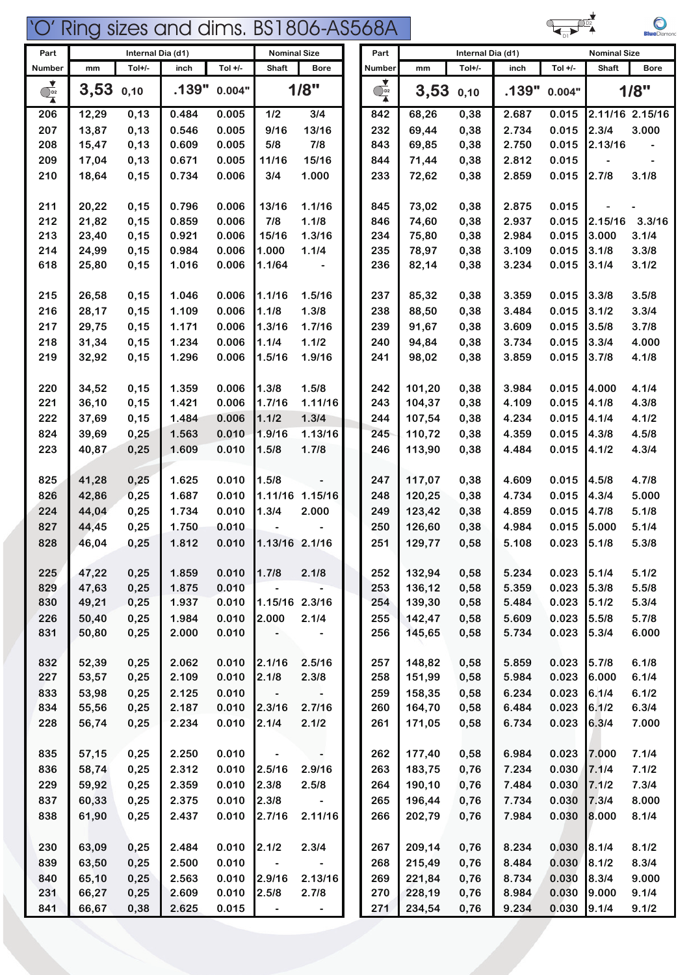

| rv |
|----|

| Part                           |             | Internal Dia (d1) |       |           | <b>Nominal Size</b>      |                   | Part                                 |        | Internal Dia (d1) |       |           | <b>Nominal Size</b> |                 |
|--------------------------------|-------------|-------------------|-------|-----------|--------------------------|-------------------|--------------------------------------|--------|-------------------|-------|-----------|---------------------|-----------------|
| <b>Number</b>                  | mm          | Tol+/-            | inch  | Tol $+/-$ | Shaft                    | <b>Bore</b>       | <b>Number</b>                        | mm     | Tol+/-            | inch  | Tol $+/-$ | <b>Shaft</b>        | <b>Bore</b>     |
| $\overline{\mathcal{O}_{P^2}}$ | $3,53$ 0,10 |                   | .139" | 0.004"    |                          | 1/8"              | ⊻<br>$\overline{\bigcirc}_{D2}$<br>Ā | 3,53   | 0,10              | .139" | 0.004"    |                     | 1/8"            |
| 206                            | 12,29       | 0,13              | 0.484 | 0.005     | $1/2$                    | 3/4               | 842                                  | 68,26  | 0,38              | 2.687 | 0.015     |                     | 2.11/16 2.15/16 |
| 207                            | 13,87       | 0,13              | 0.546 | 0.005     | 9/16                     | 13/16             | 232                                  | 69,44  | 0,38              | 2.734 | 0.015     | 2.3/4               | 3.000           |
| 208                            | 15,47       | 0,13              | 0.609 | 0.005     | 5/8                      | 7/8               | 843                                  | 69,85  | 0,38              | 2.750 | 0.015     | 2.13/16             |                 |
| 209                            | 17,04       | 0,13              | 0.671 | 0.005     | 11/16                    | 15/16             | 844                                  | 71,44  | 0,38              | 2.812 | 0.015     |                     |                 |
| 210                            | 18,64       | 0,15              | 0.734 | 0.006     | 3/4                      | 1.000             | 233                                  | 72,62  | 0,38              | 2.859 | 0.015     | 2.7/8               | 3.1/8           |
| 211                            | 20,22       | 0,15              | 0.796 | 0.006     | 13/16                    | 1.1/16            | 845                                  | 73,02  | 0,38              | 2.875 | 0.015     |                     |                 |
| 212                            | 21,82       | 0,15              | 0.859 | 0.006     | 7/8                      | 1.1/8             | 846                                  | 74,60  | 0,38              | 2.937 | 0.015     | 2.15/16             | 3.3/16          |
| 213                            | 23,40       | 0,15              | 0.921 | 0.006     | 15/16                    | 1.3/16            | 234                                  | 75,80  | 0,38              | 2.984 | 0.015     | 3.000               | 3.1/4           |
| 214                            | 24,99       | 0,15              | 0.984 | 0.006     | 1.000                    | 1.1/4             | 235                                  | 78,97  | 0,38              | 3.109 | 0.015     | 3.1/8               | 3.3/8           |
| 618                            | 25,80       | 0,15              | 1.016 | 0.006     | 1.1/64                   |                   | 236                                  | 82,14  | 0,38              | 3.234 | 0.015     | 3.1/4               | 3.1/2           |
| 215                            | 26,58       | 0,15              | 1.046 | 0.006     | 1.1/16                   | 1.5/16            | 237                                  | 85,32  | 0,38              | 3.359 | 0.015     | 3.3/8               | 3.5/8           |
| 216                            | 28,17       | 0,15              | 1.109 | 0.006     | 1.1/8                    | 1.3/8             | 238                                  | 88,50  | 0,38              | 3.484 | 0.015     | 3.1/2               | 3.3/4           |
| 217                            | 29,75       | 0,15              | 1.171 | 0.006     | 1.3/16                   | 1.7/16            | 239                                  | 91,67  | 0,38              | 3.609 | 0.015     | 3.5/8               | 3.7/8           |
| 218                            | 31,34       | 0,15              | 1.234 | 0.006     | 1.1/4                    | 1.1/2             | 240                                  | 94,84  | 0,38              | 3.734 | 0.015     | 3.3/4               | 4.000           |
| 219                            | 32,92       | 0,15              | 1.296 | 0.006     | 1.5/16                   | 1.9/16            | 241                                  | 98,02  | 0,38              | 3.859 | 0.015     | 3.7/8               | 4.1/8           |
| 220                            | 34,52       | 0,15              | 1.359 | 0.006     | 1.3/8                    | 1.5/8             | 242                                  | 101,20 | 0,38              | 3.984 | 0.015     | 4.000               | 4.1/4           |
| 221                            | 36,10       | 0,15              | 1.421 | 0.006     | 1.7/16                   | 1.11/16           | 243                                  | 104,37 | 0,38              | 4.109 | 0.015     | 4.1/8               | 4.3/8           |
| 222                            | 37,69       | 0,15              | 1.484 | 0.006     | 1.1/2                    | 1.3/4             | 244                                  | 107,54 | 0,38              | 4.234 | 0.015     | 4.1/4               | 4.1/2           |
| 824                            | 39,69       | 0,25              | 1.563 | 0.010     | 1.9/16                   | 1.13/16           | 245                                  | 110,72 | 0,38              | 4.359 | 0.015     | 4.3/8               | 4.5/8           |
| 223                            | 40,87       | 0,25              | 1.609 | 0.010     | 1.5/8                    | 1.7/8             | 246                                  | 113,90 | 0,38              | 4.484 | 0.015     | 4.1/2               | 4.3/4           |
| 825                            | 41,28       | 0,25              | 1.625 | 0.010     | 1.5/8                    |                   | 247                                  | 117,07 | 0,38              | 4.609 | 0.015     | 4.5/8               | 4.7/8           |
| 826                            | 42,86       | 0,25              | 1.687 | 0.010     |                          | 1.11/16 1.15/16   | 248                                  | 120,25 | 0,38              | 4.734 | 0.015     | 4.3/4               | 5.000           |
| 224                            | 44,04       | 0,25              | 1.734 | 0.010     | 1.3/4                    | 2.000             | 249                                  | 123,42 | 0,38              | 4.859 | 0.015     | 4.7/8               | 5.1/8           |
| 827                            | 44,45       | 0,25              | 1.750 | 0.010     |                          |                   | 250                                  | 126,60 | 0,38              | 4.984 | 0.015     | 5.000               | 5.1/4           |
| 828                            | 46,04       | 0,25              | 1.812 | 0.010     | 1.13/16 2.1/16           |                   | 251                                  | 129,77 | 0,58              | 5.108 | 0.023     | 5.1/8               | 5.3/8           |
|                                |             |                   |       |           |                          |                   |                                      |        |                   |       |           |                     |                 |
| 225                            | 47,22       | 0,25              | 1.859 | 0.010     | 1.7/8                    | 2.1/8             | 252                                  | 132,94 | 0,58              | 5.234 | 0.023     | 5.1/4               | 5.1/2           |
| 829                            | 47,63       | 0,25              | 1.875 | 0.010     | $\overline{\phantom{0}}$ |                   | 253                                  | 136,12 | 0,58              | 5.359 | 0.023     | 5.3/8               | 5.5/8           |
| 830                            | 49,21       | 0,25              | 1.937 | 0.010     | 1.15/16 2.3/16           |                   | 254                                  | 139,30 | 0,58              | 5.484 | 0.023     | 5.1/2               | 5.3/4           |
| 226                            | 50,40       | 0,25              | 1.984 | 0.010     | 2.000                    | 2.1/4             | 255                                  | 142,47 | 0,58              | 5.609 | 0.023     | 5.5/8               | 5.7/8           |
| 831                            | 50,80       | 0,25              | 2.000 | 0.010     |                          |                   | 256                                  | 145,65 | 0,58              | 5.734 | 0.023     | 5.3/4               | 6.000           |
| 832                            | 52,39       | 0,25              | 2.062 | 0.010     | 2.1/16                   | 2.5/16            | 257                                  | 148,82 | 0,58              | 5.859 | 0.023     | 5.7/8               | 6.1/8           |
| 227                            | 53,57       | 0,25              | 2.109 | 0.010     | 2.1/8                    | 2.3/8             | 258                                  | 151,99 | 0,58              | 5.984 | 0.023     | 6.000               | 6.1/4           |
| 833                            | 53,98       | 0,25              | 2.125 | 0.010     | $\overline{\phantom{a}}$ |                   | 259                                  | 158,35 | 0,58              | 6.234 | 0.023     | 6.1/4               | 6.1/2           |
| 834                            | 55,56       | 0,25              | 2.187 | 0.010     | 2.3/16                   | 2.7/16            | 260                                  | 164,70 | 0,58              | 6.484 | 0.023     | 6.1/2               | 6.3/4           |
| 228                            | 56,74       | 0,25              | 2.234 | 0.010     | 2.1/4                    | 2.1/2             | 261                                  | 171,05 | 0,58              | 6.734 | 0.023     | 6.3/4               | 7.000           |
| 835                            | 57,15       | 0,25              | 2.250 | 0.010     | $\overline{\phantom{a}}$ | $\hbox{\small -}$ | 262                                  | 177,40 | 0,58              | 6.984 | 0.023     | 7.000               | 7.1/4           |
| 836                            | 58,74       | 0,25              | 2.312 | 0.010     | 2.5/16                   | 2.9/16            | 263                                  | 183,75 | 0,76              | 7.234 | 0.030     | 7.1/4               | 7.1/2           |
| 229                            | 59,92       | 0,25              | 2.359 | 0.010     | 2.3/8                    | 2.5/8             | 264                                  | 190,10 | 0,76              | 7.484 | 0.030     | 7.1/2               | 7.3/4           |
| 837                            | 60,33       | 0,25              | 2.375 | 0.010     | 2.3/8                    |                   | 265                                  | 196,44 | 0,76              | 7.734 | 0.030     | 7.3/4               | 8.000           |
| 838                            | 61,90       | 0,25              | 2.437 | 0.010     | 2.7/16                   | 2.11/16           | 266                                  | 202,79 | 0,76              | 7.984 | 0.030     | 8.000               | 8.1/4           |
| 230                            | 63,09       | 0,25              | 2.484 | 0.010     | 2.1/2                    | 2.3/4             | 267                                  | 209,14 | 0,76              | 8.234 | 0.030     | 8.1/4               | 8.1/2           |
| 839                            | 63,50       | 0,25              | 2.500 | 0.010     |                          |                   | 268                                  | 215,49 | 0,76              | 8.484 | 0.030     | 8.1/2               | 8.3/4           |
| 840                            | 65,10       | 0,25              | 2.563 | 0.010     | 2.9/16                   | 2.13/16           | 269                                  | 221,84 | 0,76              | 8.734 | 0.030     | 8.3/4               | 9.000           |
| 231                            | 66,27       | 0,25              | 2.609 | 0.010     | 2.5/8                    | 2.7/8             | 270                                  | 228,19 | 0,76              | 8.984 | 0.030     | 9.000               | 9.1/4           |
| 841                            | 66,67       | 0,38              | 2.625 | 0.015     | $\overline{\phantom{a}}$ | $\blacksquare$    | 271                                  | 234,54 | 0,76              | 9.234 | 0.030     | 9.1/4               | 9.1/2           |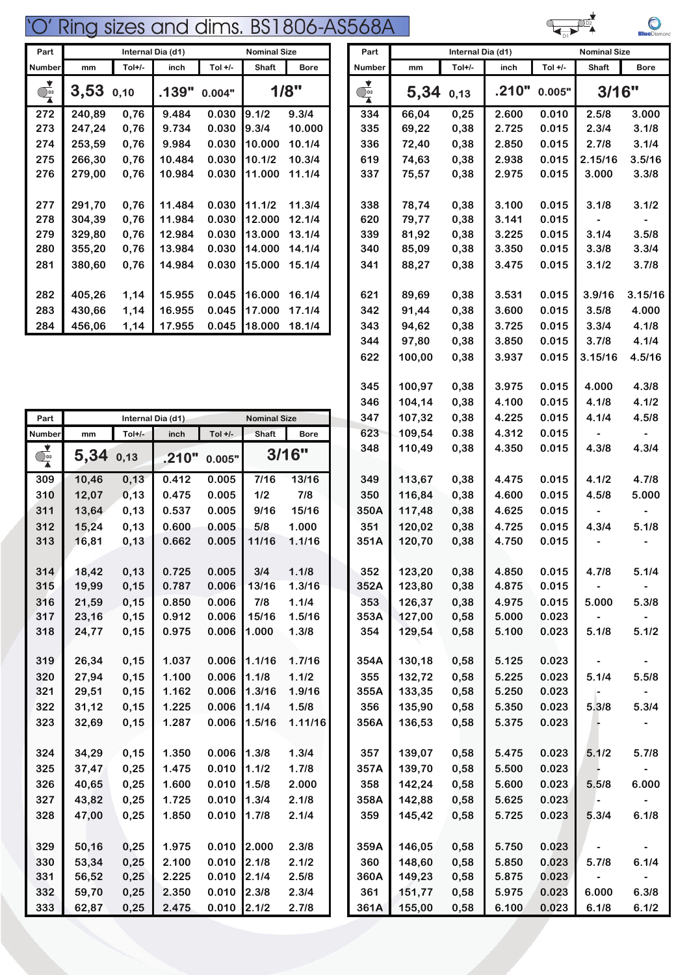| Part                         |        | Internal Dia (d1) |        | <b>Nominal Size</b> |              | Part        |                  | Internal Dia (d1) |          |       | <b>Nominal Size</b> |              |                  |
|------------------------------|--------|-------------------|--------|---------------------|--------------|-------------|------------------|-------------------|----------|-------|---------------------|--------------|------------------|
| <b>Number</b>                | mm     | Tol+/-            | inch   | Tol $+/-$           | <b>Shaft</b> | <b>Bore</b> | <b>Number</b>    | mm                | $Tol+/-$ | inch  | Tol $+/-$           | <b>Shaft</b> | Bo               |
| $\overrightarrow{O_{p_{2}}}$ | 3,53   | 0,10              | .139"  | 0.004"              | 1/8"         |             | $\sum_{\lambda}$ | 5,34              | 0,13     | .210" | 0.005"              | 3/16"        |                  |
| 272                          | 240,89 | 0,76              | 9.484  | 0.030               | 19.1/2       | 9.3/4       | 334              | 66,04             | 0,25     | 2.600 | 0.010               | 2.5/8        | 3.0              |
| 273                          | 247,24 | 0,76              | 9.734  | 0.030               | 19.3/4       | 10.000      | 335              | 69,22             | 0,38     | 2.725 | 0.015               | 2.3/4        | 3.1              |
| 274                          | 253,59 | 0,76              | 9.984  | 0.030               | 10.000       | 10.1/4      | 336              | 72,40             | 0,38     | 2.850 | 0.015               | 2.7/8        | 3.1              |
| 275                          | 266,30 | 0,76              | 10.484 | 0.030               | 10.1/2       | 10.3/4      | 619              | 74,63             | 0,38     | 2.938 | 0.015               | 2.15/16      | 3.5 <sub>1</sub> |
| 276                          | 279,00 | 0,76              | 10.984 | 0.030               | 11.000       | 11.1/4      | 337              | 75,57             | 0,38     | 2.975 | 0.015               | 3.000        | 3.3              |
|                              |        |                   |        |                     |              |             |                  |                   |          |       |                     |              |                  |
| 277                          | 291,70 | 0,76              | 11.484 | 0.030               | 11.1/2       | 11.3/4      | 338              | 78,74             | 0,38     | 3.100 | 0.015               | 3.1/8        | 3.1              |
| 278                          | 304,39 | 0,76              | 11.984 | 0.030               | 12.000       | 12.1/4      | 620              | 79,77             | 0,38     | 3.141 | 0.015               |              |                  |
| 279                          | 329,80 | 0,76              | 12.984 | 0.030               | 13.000       | 13.1/4      | 339              | 81,92             | 0,38     | 3.225 | 0.015               | 3.1/4        | 3.5              |
| 280                          | 355,20 | 0,76              | 13.984 | 0.030               | 14.000       | 14.1/4      | 340              | 85,09             | 0,38     | 3.350 | 0.015               | 3.3/8        | 3.3              |
| 281                          | 380,60 | 0,76              | 14.984 | 0.030               | 15.000       | 15.1/4      | 341              | 88,27             | 0,38     | 3.475 | 0.015               | 3.1/2        | 3.7              |
|                              |        |                   |        |                     |              |             |                  |                   |          |       |                     |              |                  |
| 282                          | 405,26 | 1,14              | 15.955 | 0.045               | 16.000       | 16.1/4      | 621              | 89,69             | 0,38     | 3.531 | 0.015               | 3.9/16       | 3.15             |
| 283                          | 430,66 | 1,14              | 16.955 | 0.045               | 17.000       | 17.1/4      | 342              | 91,44             | 0,38     | 3.600 | 0.015               | 3.5/8        | 4.0              |
| 284                          | 456,06 | 1,14              | 17.955 | 0.045               | 18.000       | 18.1/4      | 343              | 94,62             | 0,38     | 3.725 | 0.015               | 3.3/4        | 4.1              |

| Part                                                          | Internal Dia (d1) |        |       |           | <b>Nominal Size</b> |             | 347  | 107,32 | 0,38 | 4.225 | 0.015 | 4.1/4 | 4.5/8 |
|---------------------------------------------------------------|-------------------|--------|-------|-----------|---------------------|-------------|------|--------|------|-------|-------|-------|-------|
| Number                                                        | mm                | Tol+/- | inch  | Tol $+/-$ | Shaft               | <b>Bore</b> | 623  | 109,54 | 0.38 | 4.312 | 0.015 |       |       |
| $\begin{array}{c}\n\bullet \\ \bullet \\ \hline\n\end{array}$ | 5,34              | 0,13   | .210" | 0.005"    |                     | 3/16"       | 348  | 110,49 | 0,38 | 4.350 | 0.015 | 4.3/8 | 4.3/4 |
| 309                                                           | 10,46             | 0, 13  | 0.412 | 0.005     | 7/16                | 13/16       | 349  | 113,67 | 0,38 | 4.475 | 0.015 | 4.1/2 | 4.7/8 |
| 310                                                           | 12,07             | 0, 13  | 0.475 | 0.005     | 1/2                 | 7/8         | 350  | 116,84 | 0,38 | 4.600 | 0.015 | 4.5/8 | 5.000 |
| 311                                                           | 13,64             | 0,13   | 0.537 | 0.005     | 9/16                | 15/16       | 350A | 117,48 | 0,38 | 4.625 | 0.015 |       |       |
| 312                                                           | 15,24             | 0,13   | 0.600 | 0.005     | 5/8                 | 1.000       | 351  | 120,02 | 0,38 | 4.725 | 0.015 | 4.3/4 | 5.1/8 |
| 313                                                           | 16,81             | 0,13   | 0.662 | 0.005     | 11/16               | 1.1/16      | 351A | 120,70 | 0,38 | 4.750 | 0.015 |       |       |
|                                                               |                   |        |       |           |                     |             |      |        |      |       |       |       |       |
| 314                                                           | 18,42             | 0,13   | 0.725 | 0.005     | 3/4                 | 1.1/8       | 352  | 123,20 | 0,38 | 4.850 | 0.015 | 4.7/8 | 5.1/4 |
| 315                                                           | 19,99             | 0, 15  | 0.787 | 0.006     | 13/16               | 1.3/16      | 352A | 123,80 | 0,38 | 4.875 | 0.015 |       |       |
| 316                                                           | 21,59             | 0, 15  | 0.850 | 0.006     | 7/8                 | 1.1/4       | 353  | 126,37 | 0,38 | 4.975 | 0.015 | 5.000 | 5.3/8 |
| 317                                                           | 23,16             | 0,15   | 0.912 | 0.006     | 15/16               | 1.5/16      | 353A | 127,00 | 0,58 | 5.000 | 0.023 |       |       |
| 318                                                           | 24,77             | 0,15   | 0.975 | 0.006     | 1.000               | 1.3/8       | 354  | 129,54 | 0,58 | 5.100 | 0.023 | 5.1/8 | 5.1/2 |
|                                                               |                   |        |       |           |                     |             |      |        |      |       |       |       |       |
| 319                                                           | 26,34             | 0, 15  | 1.037 | 0.006     | 1.1/16              | 1.7/16      | 354A | 130,18 | 0,58 | 5.125 | 0.023 |       |       |
| 320                                                           | 27,94             | 0, 15  | 1.100 | 0.006     | 1.1/8               | 1.1/2       | 355  | 132,72 | 0,58 | 5.225 | 0.023 | 5.1/4 | 5.5/8 |
| 321                                                           | 29,51             | 0,15   | 1.162 | 0.006     | 1.3/16              | 1.9/16      | 355A | 133,35 | 0,58 | 5.250 | 0.023 |       |       |
| 322                                                           | 31,12             | 0,15   | 1.225 | 0.006     | 1.1/4               | 1.5/8       | 356  | 135,90 | 0,58 | 5.350 | 0.023 | 5.3/8 | 5.3/4 |
| 323                                                           | 32,69             | 0, 15  | 1.287 | 0.006     | 1.5/16              | 1.11/16     | 356A | 136,53 | 0,58 | 5.375 | 0.023 |       |       |
|                                                               |                   |        |       |           |                     |             |      |        |      |       |       |       |       |
| 324                                                           | 34,29             | 0,15   | 1.350 | 0.006     | 1.3/8               | 1.3/4       | 357  | 139,07 | 0,58 | 5.475 | 0.023 | 5.1/2 | 5.7/8 |
| 325                                                           | 37,47             | 0,25   | 1.475 | 0.010     | 1.1/2               | 1.7/8       | 357A | 139,70 | 0,58 | 5.500 | 0.023 |       |       |
| 326                                                           | 40,65             | 0,25   | 1.600 | 0.010     | 1.5/8               | 2.000       | 358  | 142,24 | 0,58 | 5.600 | 0.023 | 5.5/8 | 6.000 |
| 327                                                           | 43,82             | 0,25   | 1.725 | 0.010     | 1.3/4               | 2.1/8       | 358A | 142,88 | 0,58 | 5.625 | 0.023 |       |       |
| 328                                                           | 47,00             | 0,25   | 1.850 | 0.010     | 1.7/8               | 2.1/4       | 359  | 145,42 | 0,58 | 5.725 | 0.023 | 5.3/4 | 6.1/8 |
|                                                               |                   |        |       |           |                     |             |      |        |      |       |       |       |       |
| 329                                                           | 50,16             | 0,25   | 1.975 | 0.010     | 2.000               | 2.3/8       | 359A | 146,05 | 0,58 | 5.750 | 0.023 |       |       |
| 330                                                           | 53,34             | 0,25   | 2.100 | 0.010     | 2.1/8               | 2.1/2       | 360  | 148,60 | 0,58 | 5.850 | 0.023 | 5.7/8 | 6.1/4 |
| 331                                                           | 56,52             | 0,25   | 2.225 | 0.010     | 2.1/4               | 2.5/8       | 360A | 149,23 | 0,58 | 5.875 | 0.023 |       |       |
| 332                                                           | 59,70             | 0,25   | 2.350 | 0.010     | 2.3/8               | 2.3/4       | 361  | 151,77 | 0,58 | 5.975 | 0.023 | 6.000 | 6.3/8 |
| 333                                                           | 62,87             | 0,25   | 2.475 | 0.010     | 2.1/2               | 2.7/8       | 361A | 155,00 | 0,58 | 6.100 | 0.023 | 6.1/8 | 6.1/2 |

| Part                                                          |             |        | Internal Dia (d1) |               | <b>Nominal Size</b> |             | Part                           |        | Internal Dia (d1) |       |           | <b>Nominal Size</b>      |                |
|---------------------------------------------------------------|-------------|--------|-------------------|---------------|---------------------|-------------|--------------------------------|--------|-------------------|-------|-----------|--------------------------|----------------|
| Number                                                        | mm          | Tol+/- | inch              | Tol $+/-$     | Shaft               | <b>Bore</b> | Number                         | mm     | Tol+/-            | inch  | Tol $+/-$ | Shaft                    | <b>Bore</b>    |
| $\begin{array}{c}\n\bullet \\ \bullet \\ \hline\n\end{array}$ | $3,53$ 0,10 |        | .139"             | 0.004"        |                     | 1/8"        | Y<br>$\overline{\mathbb{Q}}_2$ | 5,34   | 0,13              | .210" | 0.005"    | 3/16"                    |                |
| 272                                                           | 240,89      | 0,76   | 9.484             | 0.030         | 9.1/2               | 9.3/4       | 334                            | 66,04  | 0,25              | 2.600 | 0.010     | 2.5/8                    | 3.000          |
| 273                                                           | 247,24      | 0,76   | 9.734             | 0.030         | 9.3/4               | 10.000      | 335                            | 69,22  | 0,38              | 2.725 | 0.015     | 2.3/4                    | 3.1/8          |
| 274                                                           | 253,59      | 0,76   | 9.984             | 0.030         | 10.000              | 10.1/4      | 336                            | 72,40  | 0,38              | 2.850 | 0.015     | 2.7/8                    | 3.1/4          |
| 275                                                           | 266,30      | 0,76   | 10.484            | 0.030         | 10.1/2              | 10.3/4      | 619                            | 74,63  | 0,38              | 2.938 | 0.015     | 2.15/16                  | 3.5/16         |
| 276                                                           | 279,00      | 0,76   | 10.984            | 0.030         | 11.000              | 11.1/4      | 337                            | 75,57  | 0,38              | 2.975 | 0.015     | 3.000                    | 3.3/8          |
| 277                                                           | 291,70      | 0,76   | 11.484            | 0.030         | 11.1/2              | 11.3/4      | 338                            | 78,74  | 0,38              | 3.100 | 0.015     | 3.1/8                    | 3.1/2          |
| 278                                                           | 304,39      | 0,76   | 11.984            | 0.030         | 12.000              | 12.1/4      | 620                            | 79,77  | 0,38              | 3.141 | 0.015     |                          |                |
| 279                                                           | 329,80      | 0,76   | 12.984            | 0.030         | 13.000              | 13.1/4      | 339                            | 81,92  | 0,38              | 3.225 | 0.015     | 3.1/4                    | 3.5/8          |
| 280                                                           | 355,20      | 0,76   | 13.984            | 0.030         | 14.000              | 14.1/4      | 340                            | 85,09  | 0,38              | 3.350 | 0.015     | 3.3/8                    | 3.3/4          |
| 281                                                           | 380,60      | 0,76   | 14.984            | 0.030         | 15.000              | 15.1/4      | 341                            | 88,27  | 0,38              | 3.475 | 0.015     | 3.1/2                    | 3.7/8          |
| 282                                                           | 405,26      | 1,14   | 15.955            | 0.045         | 16.000              | 16.1/4      | 621                            | 89,69  | 0,38              | 3.531 | 0.015     | 3.9/16                   | 3.15/16        |
| 283                                                           | 430,66      | 1,14   | 16.955            | 0.045         | 17.000              | 17.1/4      | 342                            | 91,44  | 0,38              | 3.600 | 0.015     | 3.5/8                    | 4.000          |
| 284                                                           | 456,06      | 1,14   | 17.955            | 0.045         | 18.000              | 18.1/4      | 343                            | 94,62  | 0,38              | 3.725 | 0.015     | 3.3/4                    | 4.1/8          |
|                                                               |             |        |                   |               |                     |             | 344                            | 97,80  | 0,38              | 3.850 | 0.015     | 3.7/8                    | 4.1/4          |
|                                                               |             |        |                   |               |                     |             | 622                            | 100,00 | 0,38              | 3.937 | 0.015     | 3.15/16                  | 4.5/16         |
|                                                               |             |        |                   |               |                     |             | 345                            | 100,97 | 0,38              | 3.975 | 0.015     | 4.000                    | 4.3/8          |
|                                                               |             |        |                   |               |                     |             | 346                            | 104,14 | 0,38              | 4.100 | 0.015     | 4.1/8                    | 4.1/2          |
| Part                                                          |             |        | Internal Dia (d1) |               | <b>Nominal Size</b> |             | 347                            | 107,32 | 0,38              | 4.225 | 0.015     | 4.1/4                    | 4.5/8          |
| Number                                                        | mm          | Tol+/- | inch              | Tol $+/-$     | Shaft               | <b>Bore</b> | 623                            | 109,54 | 0.38              | 4.312 | 0.015     |                          |                |
| $\overline{\mathbb{Q}}_{2}^{2}$                               | 5,34 0,13   |        | .210"             | 0.005"        |                     | 3/16"       | 348                            | 110,49 | 0,38              | 4.350 | 0.015     | 4.3/8                    | 4.3/4          |
| 309                                                           | 10,46       | 0, 13  | 0.412             | 0.005         | 7/16                | 13/16       | 349                            | 113,67 | 0,38              | 4.475 | 0.015     | 4.1/2                    | 4.7/8          |
| 310                                                           | 12,07       | 0, 13  | 0.475             | 0.005         | 1/2                 | 7/8         | 350                            | 116,84 | 0,38              | 4.600 | 0.015     | 4.5/8                    | 5.000          |
| 311                                                           | 13,64       | 0,13   | 0.537             | 0.005         | 9/16                | 15/16       | 350A                           | 117,48 | 0,38              | 4.625 | 0.015     | $\hbox{\small -}$        |                |
| 312                                                           | 15,24       | 0,13   | 0.600             | 0.005         | 5/8                 | 1.000       | 351                            | 120,02 | 0,38              | 4.725 | 0.015     | 4.3/4                    | 5.1/8          |
| 313                                                           | 16,81       | 0, 13  | 0.662             | 0.005         | 11/16               | 1.1/16      | 351A                           | 120,70 | 0,38              | 4.750 | 0.015     |                          |                |
| 314                                                           | 18,42       | 0, 13  | 0.725             | 0.005         | 3/4                 | 1.1/8       | 352                            | 123,20 | 0,38              | 4.850 | 0.015     | 4.7/8                    | 5.1/4          |
| 315                                                           | 19,99       | 0,15   | 0.787             | 0.006         | 13/16               | 1.3/16      | 352A                           | 123,80 | 0,38              | 4.875 | 0.015     |                          |                |
| 316                                                           | 21,59       | 0,15   | 0.850             | 0.006         | 7/8                 | 1.1/4       | 353                            | 126,37 | 0,38              | 4.975 | 0.015     | 5.000                    | 5.3/8          |
| 317                                                           | 23,16       | 0,15   | 0.912             | 0.006         | 15/16               | 1.5/16      | 353A                           | 127,00 | 0,58              | 5.000 | 0.023     |                          |                |
| 318                                                           | 24,77       | 0,15   | 0.975             | 0.006         | 1.000               | 1.3/8       | 354                            | 129,54 | 0,58              | 5.100 | 0.023     | 5.1/8                    | 5.1/2          |
| 319                                                           | 26,34       | 0,15   | 1.037             | 0.006         | 1.1/16              | 1.7/16      | 354A                           | 130,18 | 0,58              | 5.125 | 0.023     |                          |                |
| 320                                                           | 27,94       | 0,15   | 1.100             | 0.006         | 1.1/8               | 1.1/2       | 355                            | 132,72 | 0,58              | 5.225 | 0.023     | 5.1/4                    | 5.5/8          |
| 321                                                           | 29,51       | 0,15   | 1.162             | 0.006         | 1.3/16              | 1.9/16      | 355A                           | 133,35 | 0,58              | 5.250 | 0.023     | $\overline{\phantom{a}}$ | $\blacksquare$ |
| 322                                                           | 31,12       | 0,15   | 1.225             | 0.006         | 1.1/4               | 1.5/8       | 356                            | 135,90 | 0,58              | 5.350 | 0.023     | 5.3/8                    | 5.3/4          |
| 323                                                           | 32,69       | 0,15   | 1.287             | 0.006         | 1.5/16              | 1.11/16     | 356A                           | 136,53 | 0,58              | 5.375 | 0.023     |                          |                |
| 324                                                           | 34,29       | 0,15   | 1.350             | 0.006         | 1.3/8               | 1.3/4       | 357                            | 139,07 | 0,58              | 5.475 | 0.023     | 5.1/2                    | 5.7/8          |
| 325                                                           | 37,47       | 0,25   | 1.475             | 0.010         | 1.1/2               | 1.7/8       | 357A                           | 139,70 | 0,58              | 5.500 | 0.023     |                          |                |
| 326                                                           | 40,65       | 0,25   | 1.600             | 0.010         | 1.5/8               | 2.000       | 358                            | 142,24 | 0,58              | 5.600 | 0.023     | 5.5/8                    | 6.000          |
| 327                                                           | 43,82       | 0,25   | 1.725             | 0.010         | 1.3/4               | 2.1/8       | 358A                           | 142,88 | 0,58              | 5.625 | 0.023     |                          |                |
| 328                                                           | 47,00       | 0,25   | 1.850             | 0.010         | 1.7/8               | 2.1/4       | 359                            | 145,42 | 0,58              | 5.725 | 0.023     | 5.3/4                    | 6.1/8          |
|                                                               |             |        |                   |               |                     |             |                                |        |                   |       |           |                          |                |
| 329                                                           | 50,16       | 0,25   | 1.975             | 0.010         | 2.000               | 2.3/8       | 359A                           | 146,05 | 0,58              | 5.750 | 0.023     |                          |                |
| 330                                                           | 53,34       | 0,25   | 2.100             | 0.010         | 2.1/8               | 2.1/2       | 360                            | 148,60 | 0,58              | 5.850 | 0.023     | 5.7/8                    | 6.1/4          |
| 331                                                           | 56,52       | 0,25   | 2.225             | 0.010         | 2.1/4               | 2.5/8       | 360A                           | 149,23 | 0,58              | 5.875 | 0.023     |                          |                |
| 332                                                           | 59,70       | 0,25   | 2.350             | $0.010$ 2.3/8 |                     | 2.3/4       | 361                            | 151,77 | 0,58              | 5.975 | 0.023     | 6.000                    | 6.3/8          |
| 333                                                           | 62,87       | 0,25   | 2.475             | $0.010$ 2.1/2 |                     | 2.7/8       | 361A                           | 155,00 | 0,58              | 6.100 | 0.023     | 6.1/8                    | 6.1/2          |

D1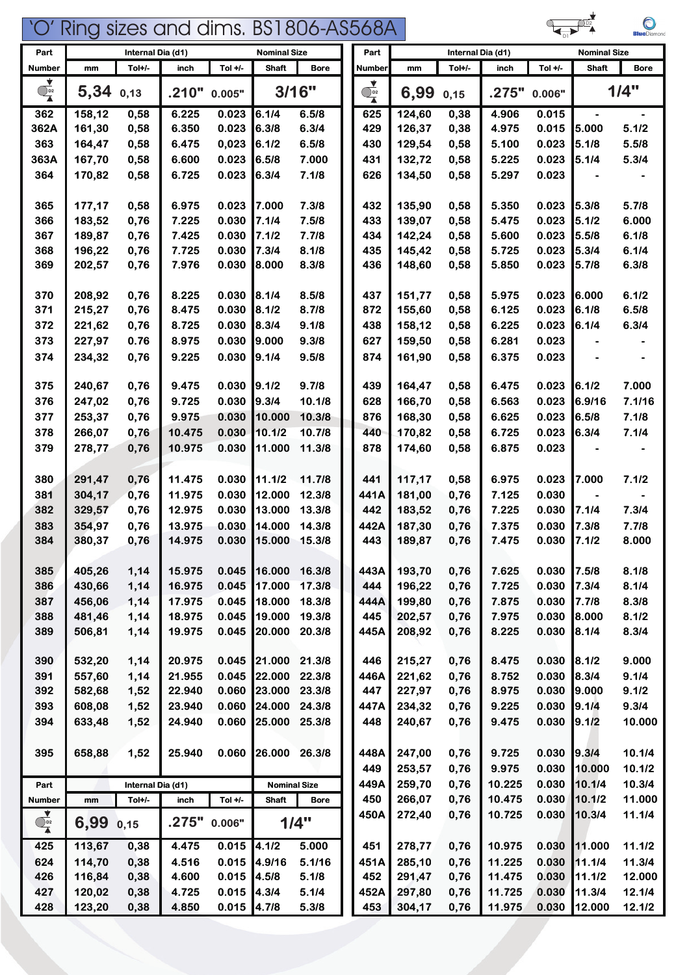

 $\bigcirc$ 

| Part                           | Internal Dia (d1)<br><b>Nominal Size</b> |                   |                |                | Part                |                 | Internal Dia (d1) |                  |              | <b>Nominal Size</b> |                |                  |                  |
|--------------------------------|------------------------------------------|-------------------|----------------|----------------|---------------------|-----------------|-------------------|------------------|--------------|---------------------|----------------|------------------|------------------|
| Number                         | mm                                       | Tol+/-            | inch           | Tol $+/-$      | <b>Shaft</b>        | <b>Bore</b>     | <b>Number</b>     | mm               | Tol+/-       | inch                | Tol $+/-$      | <b>Shaft</b>     | <b>Bore</b>      |
| ▼<br>$\overline{\mathbb{Q}}_2$ | 5,34                                     | 0,13              | .210"          | 0.005"         |                     | 3/16"           | $\frac{1}{4}$     | 6,99             | 0,15         | .275"               | 0.006"         |                  | 1/4"             |
| 362                            | 158,12                                   | 0,58              | 6.225          | 0.023          | 6.1/4               | 6.5/8           | 625               | 124,60           | 0,38         | 4.906               | 0.015          |                  |                  |
| 362A                           | 161,30                                   | 0,58              | 6.350          | 0.023          | 6.3/8               | 6.3/4           | 429               | 126,37           | 0,38         | 4.975               | 0.015          | 5.000            | 5.1/2            |
| 363                            | 164,47                                   | 0,58              | 6.475          | 0,023          | 6.1/2               | 6.5/8           | 430               | 129,54           | 0,58         | 5.100               | 0.023          | 5.1/8            | 5.5/8            |
| 363A                           | 167,70                                   | 0,58              | 6.600          | 0.023          | 6.5/8               | 7.000           | 431               | 132,72           | 0,58         | 5.225               | 0.023          | 5.1/4            | 5.3/4            |
| 364                            | 170,82                                   | 0,58              | 6.725          | 0.023          | 6.3/4               | 7.1/8           | 626               | 134,50           | 0,58         | 5.297               | 0.023          |                  |                  |
|                                |                                          |                   |                |                |                     |                 |                   |                  |              |                     |                |                  |                  |
| 365                            | 177,17                                   | 0,58              | 6.975          | 0.023          | 17.000              | 7.3/8           | 432               | 135,90           | 0,58         | 5.350               | 0.023          | 5.3/8            | 5.7/8            |
| 366                            | 183,52                                   | 0,76              | 7.225          | 0.030          | 7.1/4               | 7.5/8           | 433               | 139,07           | 0,58         | 5.475               | 0.023          | 5.1/2            | 6.000            |
| 367                            | 189,87                                   | 0,76              | 7.425          | 0.030          | 7.1/2               | 7.7/8           | 434               | 142,24           | 0,58         | 5.600               | 0.023          | 5.5/8            | 6.1/8            |
| 368                            | 196,22                                   | 0,76              | 7.725          | 0.030          | 7.3/4               | 8.1/8           | 435               | 145,42           | 0,58         | 5.725               | 0.023          | 5.3/4            | 6.1/4            |
| 369                            | 202,57                                   | 0,76              | 7.976          | 0.030          | 8.000               | 8.3/8           | 436               | 148,60           | 0,58         | 5.850               | 0.023          | 5.7/8            | 6.3/8            |
| 370                            | 208,92                                   | 0,76              | 8.225          | 0.030          | 8.1/4               | 8.5/8           | 437               | 151,77           | 0,58         | 5.975               | 0.023          | 6.000            | 6.1/2            |
| 371                            | 215,27                                   | 0,76              | 8.475          | 0.030          | 8.1/2               | 8.7/8           | 872               | 155,60           | 0,58         | 6.125               | 0.023          | 6.1/8            | 6.5/8            |
| 372                            | 221,62                                   | 0,76              | 8.725          | 0.030          | 8.3/4               | 9.1/8           | 438               | 158,12           | 0,58         | 6.225               | 0.023          | 6.1/4            | 6.3/4            |
| 373                            | 227,97                                   | 0.76              | 8.975          | 0.030          | 19.000              | 9.3/8           | 627               | 159,50           | 0,58         | 6.281               | 0.023          |                  |                  |
|                                |                                          |                   |                |                |                     | 9.5/8           |                   | 161,90           | 0,58         |                     |                |                  |                  |
| 374                            | 234,32                                   | 0,76              | 9.225          | 0.030          | [9.1/4]             |                 | 874               |                  |              | 6.375               | 0.023          |                  |                  |
| 375                            | 240,67                                   | 0,76              | 9.475          | 0.030          | 9.1/2               | 9.7/8           | 439               | 164,47           | 0,58         | 6.475               | 0.023          | 6.1/2            | 7.000            |
| 376                            | 247,02                                   | 0,76              | 9.725          | 0.030          | 9.3/4               | 10.1/8          | 628               | 166,70           | 0,58         | 6.563               | 0.023          | 6.9/16           | 7.1/16           |
| 377                            | 253,37                                   | 0,76              | 9.975          | 0.030          | 10.000              | 10.3/8          | 876               | 168,30           | 0,58         | 6.625               | 0.023          | 6.5/8            | 7.1/8            |
| 378                            | 266,07                                   | 0,76              | 10.475         | 0.030          | 10.1/2              | 10.7/8          | 440               | 170,82           | 0,58         | 6.725               | 0.023          | 6.3/4            | 7.1/4            |
| 379                            | 278,77                                   | 0,76              | 10.975         | 0.030          | 11.000              | 11.3/8          | 878               | 174,60           | 0,58         | 6.875               | 0.023          |                  |                  |
|                                |                                          |                   |                |                |                     |                 |                   |                  |              |                     |                |                  |                  |
| 380                            | 291,47                                   | 0,76              | 11.475         | 0.030          | 11.1/2              | 11.7/8          | 441               | 117,17           | 0,58         | 6.975               | 0.023          | 7.000            | 7.1/2            |
| 381                            | 304,17                                   | 0,76              | 11.975         | 0.030          | 12.000              | 12.3/8          | 441A              | 181,00           | 0,76         | 7.125               | 0.030          |                  |                  |
| 382                            | 329,57                                   | 0,76              | 12.975         | 0.030          | 13.000              | 13.3/8          | 442               | 183,52           | 0,76         | 7.225               | 0.030          | 7.1/4            | 7.314            |
| 383                            | 354,97                                   | 0,76              | 13.975         | 0.030          | 14.000              | 14.3/8          | 442A              | 187,30           | 0,76         | 7.375               | 0.030          | 7.3/8            | 7.7/8            |
| 384                            | 380,37                                   | 0,76              | 14.975         | 0.030          | 15.000              | 15.3/8          | 443               | 189,87           | 0,76         | 7.475               | 0.030          | 7.1/2            | 8.000            |
|                                |                                          |                   |                |                |                     |                 |                   |                  |              |                     |                |                  |                  |
| 385                            | 405,26                                   | 1,14              | 15.975         | 0.045          | 16.000              | 16.3/8          | 443A              | 193,70           | 0,76         | 7.625               | 0.030          | 7.5/8            | 8.1/8            |
| 386                            | 430,66                                   | 1,14              | 16.975         | 0.045          | 17.000              | 17.3/8          | 444               | 196,22           | 0,76         | 7.725               | 0.030          | 7.3/4            | 8.1/4            |
| 387                            | 456,06                                   | 1,14              | 17.975         | 0.045          | 18.000              | 18.3/8          | 444A              | 199,80           | 0,76         | 7.875               | 0.030          | 7.7/8            | 8.3/8            |
| 388                            | 481,46                                   | 1,14              | 18.975         | 0.045          | 19.000              | 19.3/8          | 445               | 202,57           | 0,76         | 7.975               | 0.030          | 8.000            | 8.1/2            |
| 389                            | 506,81                                   | 1,14              | 19.975         | 0.045          | 20.000              | 20.3/8          | 445A              | 208,92           | 0,76         | 8.225               | 0.030          | 8.1/4            | 8.3/4            |
|                                |                                          |                   |                |                |                     |                 |                   |                  |              |                     |                |                  |                  |
| 390                            | 532,20                                   | 1,14              | 20.975         | 0.045          | 21.000              | 21.3/8          | 446               | 215,27           | 0,76         | 8.475               | 0.030          | 8.1/2            | 9.000            |
| 391                            | 557,60                                   | 1,14              | 21.955         | 0.045          | 22.000              | 22.3/8          | 446A              | 221,62           | 0,76         | 8.752               | 0.030          | 8.3/4            | 9.1/4            |
| 392                            | 582,68                                   | 1,52              | 22.940         | 0.060          | 23.000              | 23.3/8          | 447               | 227,97           | 0,76         | 8.975               | 0.030          | 9.000            | 9.1/2            |
| 393                            | 608,08                                   | 1,52              | 23.940         | 0.060          | 24.000              | 24.3/8          | 447A              | 234,32           | 0,76         | 9.225               | 0.030          | 9.1/4            | 9.3/4            |
| 394                            | 633,48                                   | 1,52              | 24.940         | 0.060          | 25.000              | 25.3/8          | 448               | 240,67           | 0,76         | 9.475               | 0.030          | 9.1/2            | 10.000           |
|                                |                                          |                   |                |                |                     |                 |                   |                  |              |                     |                |                  |                  |
| 395                            | 658,88                                   | 1,52              | 25.940         | 0.060          | 26.000              | 26.3/8          | 448A              | 247,00           | 0,76         | 9.725               | 0.030          | 9.3/4            | 10.1/4           |
|                                |                                          |                   |                |                |                     |                 | 449               | 253,57           | 0,76         | 9.975               | 0.030          | 10.000           | 10.1/2           |
| Part                           |                                          | Internal Dia (d1) |                |                | <b>Nominal Size</b> |                 | 449A              | 259,70           | 0,76         | 10.225              | 0.030          | 10.1/4           | 10.3/4           |
| Number                         | mm                                       | Tol+/-            | inch           | Tol $+/-$      | <b>Shaft</b>        | <b>Bore</b>     | 450               | 266,07           | 0,76         | 10.475              | 0.030          | 10.1/2           | 11.000           |
| $\overrightarrow{O_{D2}}$      | 6,99                                     | 0,15              | .275"          | 0.006"         |                     | 1/4"            | 450A              | 272,40           | 0,76         | 10.725              | 0.030          | 10.3/4           | 11.1/4           |
| 425                            | 113,67                                   | 0,38              | 4.475          | 0.015          | 4.1/2               | 5.000           | 451               | 278,77           |              | 10.975              | 0.030          | 11.000           | 11.1/2           |
|                                |                                          |                   |                |                |                     |                 |                   |                  | 0,76         |                     |                |                  |                  |
| 624<br>426                     | 114,70<br>116,84                         | 0,38<br>0,38      | 4.516<br>4.600 | 0.015<br>0.015 | 4.9/16<br>4.5/8     | 5.1/16<br>5.1/8 | 451A<br>452       | 285,10<br>291,47 | 0,76<br>0,76 | 11.225<br>11.475    | 0.030<br>0.030 | 11.1/4<br>11.1/2 | 11.3/4<br>12.000 |
| 427                            | 120,02                                   | 0,38              | 4.725          | 0.015          | 4.3/4               | 5.1/4           | 452A              | 297,80           | 0,76         | 11.725              | 0.030          | 11.3/4           | 12.1/4           |
|                                |                                          |                   |                |                |                     |                 |                   |                  |              |                     |                |                  |                  |
| 428                            | 123,20                                   | 0,38              | 4.850          | $0.015$ 4.7/8  |                     | 5.3/8           | 453               | 304,17           | 0,76         | 11.975              | 0.030          | 12.000           | 12.1/2           |